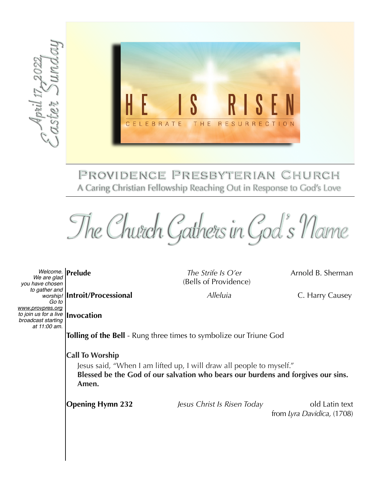

A Caring Christian Fellowship Reaching Out in Response to God's Love

The Church Gathers in God's Name

**Invocation** *to join us for a live Welcome. We are glad you have chosen to gather and Go to [www.provpres.org](http://www.provpres.org) broadcast starting Welcome.*<br> *We are glad*<br> *be are glad*<br> *be are glad*<br> *boxy Conday of Sunday*<br> *at 100 am.*<br> *at 11:00 am.* 

*The Strife Is O'er* **Arnold B. Sherman** (Bells of Providence)

**Introit/Processional** *Alleluia* C. Harry Causey *worship!* 

**Tolling of the Bell** - Rung three times to symbolize our Triune God

**Call To Worship**

Jesus said, "When I am lifted up, I will draw all people to myself." **Blessed be the God of our salvation who bears our burdens and forgives our sins. Amen.**

**Opening Hymn 232** *Jesus Christ Is Risen Today* old Latin text

from *Lyra Davidica,* (1708)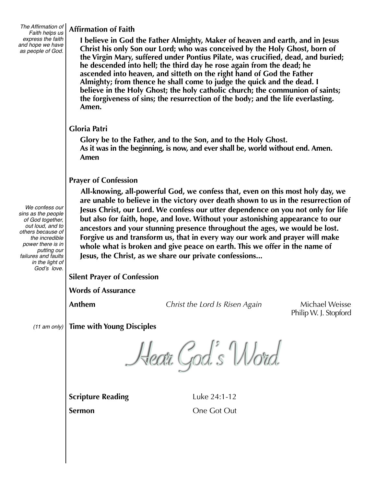*The Affirmation of Faith helps us express the faith and hope we have as people of God.*

**Affirmation of Faith** 

**I believe in God the Father Almighty, Maker of heaven and earth, and in Jesus Christ his only Son our Lord; who was conceived by the Holy Ghost, born of the Virgin Mary, suffered under Pontius Pilate, was crucified, dead, and buried; he descended into hell; the third day he rose again from the dead; he ascended into heaven, and sitteth on the right hand of God the Father Almighty; from thence he shall come to judge the quick and the dead. I believe in the Holy Ghost; the holy catholic church; the communion of saints; the forgiveness of sins; the resurrection of the body; and the life everlasting. Amen.** 

## **Gloria Patri**

**Glory be to the Father, and to the Son, and to the Holy Ghost. As it was in the beginning, is now, and ever shall be, world without end. Amen. Amen**

## **Prayer of Confession**

**All-knowing, all-powerful God, we confess that, even on this most holy day, we are unable to believe in the victory over death shown to us in the resurrection of Jesus Christ, our Lord. We confess our utter dependence on you not only for life but also for faith, hope, and love. Without your astonishing appearance to our ancestors and your stunning presence throughout the ages, we would be lost. Forgive us and transform us, that in every way our work and prayer will make whole what is broken and give peace on earth. This we offer in the name of Jesus, the Christ, as we share our private confessions...**

**Silent Prayer of Confession**

**Words of Assurance**

Anthem *Anthem Christ the Lord Is Risen Again Michael Weisse* 

Philip W. J. Stopford

**Time with Young Disciples** *(11 am only)*

Hear God's Word

**Scripture Reading Luke 24:1-12** 

**Sermon** One Got Out

 *We confess our sins as the people of God together, out loud, and to others because of the incredible power there is in putting our failures and faults in the light of God's love.*